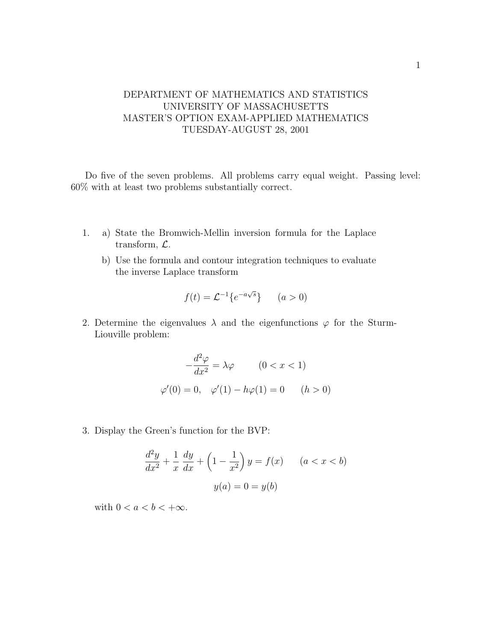## DEPARTMENT OF MATHEMATICS AND STATISTICS UNIVERSITY OF MASSACHUSETTS MASTER'S OPTION EXAM-APPLIED MATHEMATICS TUESDAY-AUGUST 28, 2001

Do five of the seven problems. All problems carry equal weight. Passing level: 60% with at least two problems substantially correct.

- 1. a) State the Bromwich-Mellin inversion formula for the Laplace transform, L.
	- b) Use the formula and contour integration techniques to evaluate the inverse Laplace transform

$$
f(t) = \mathcal{L}^{-1}\lbrace e^{-a\sqrt{s}}\rbrace \qquad (a > 0)
$$

2. Determine the eigenvalues  $\lambda$  and the eigenfunctions  $\varphi$  for the Sturm-Liouville problem:

$$
-\frac{d^2\varphi}{dx^2} = \lambda\varphi \qquad (0 < x < 1)
$$
\n
$$
\varphi'(0) = 0, \quad \varphi'(1) - h\varphi(1) = 0 \qquad (h > 0)
$$

3. Display the Green's function for the BVP:

$$
\frac{d^2y}{dx^2} + \frac{1}{x}\frac{dy}{dx} + \left(1 - \frac{1}{x^2}\right)y = f(x) \qquad (a < x < b)
$$
\n
$$
y(a) = 0 = y(b)
$$

with  $0 < a < b < +\infty$ .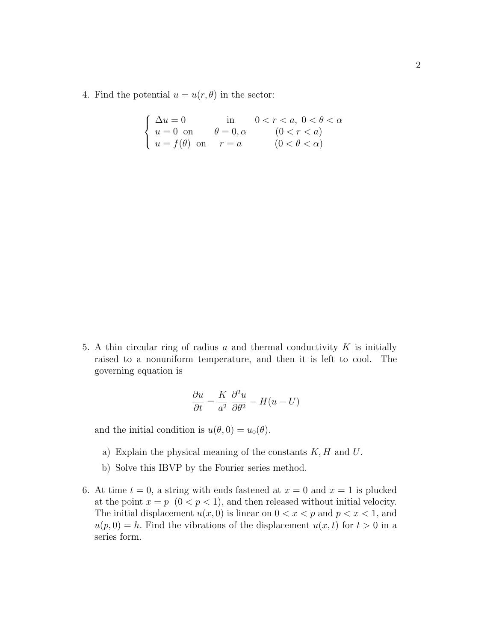4. Find the potential  $u = u(r, \theta)$  in the sector:

| $\int \Delta u = 0$                | $\sin$               | $0 < r < a, 0 < \theta < \alpha$ |
|------------------------------------|----------------------|----------------------------------|
| $\langle u=0 \text{ on } \rangle$  | $\theta = 0, \alpha$ | (0 < r < a)                      |
| $\bigcup u = f(\theta)$ on $r = a$ |                      | $(0 < \theta < \alpha)$          |

5. A thin circular ring of radius  $a$  and thermal conductivity  $K$  is initially raised to a nonuniform temperature, and then it is left to cool. The governing equation is

$$
\frac{\partial u}{\partial t} = \frac{K}{a^2} \frac{\partial^2 u}{\partial \theta^2} - H(u - U)
$$

and the initial condition is  $u(\theta, 0) = u_0(\theta)$ .

- a) Explain the physical meaning of the constants  $K, H$  and  $U$ .
- b) Solve this IBVP by the Fourier series method.
- 6. At time  $t = 0$ , a string with ends fastened at  $x = 0$  and  $x = 1$  is plucked at the point  $x = p \ (0 \lt p \lt 1)$ , and then released without initial velocity. The initial displacement  $u(x, 0)$  is linear on  $0 < x < p$  and  $p < x < 1$ , and  $u(p, 0) = h$ . Find the vibrations of the displacement  $u(x, t)$  for  $t > 0$  in a series form.